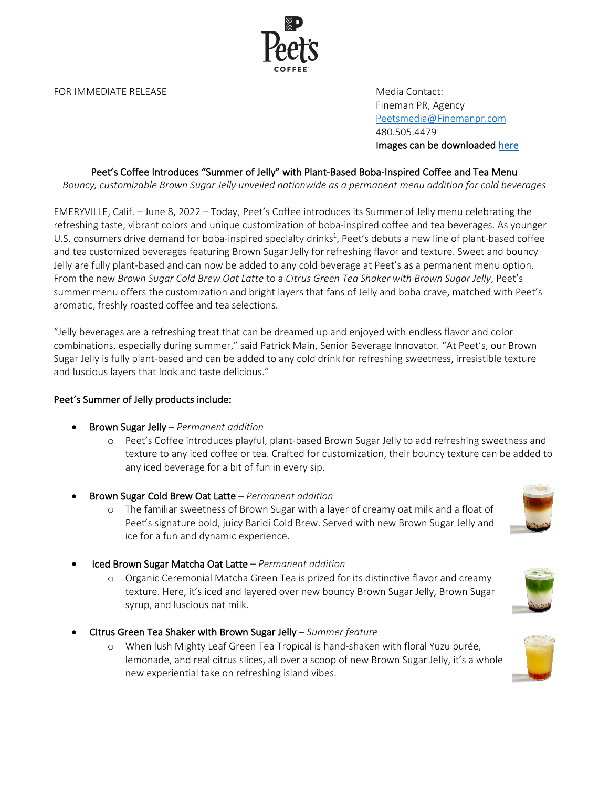FOR IMMEDIATE RELEASE MEDICIAL CONTACT CONTACT: THE MEDICIAL CONTACT:

Fineman PR, Agency Peetsmedia@Finemanpr.com 480.505.4479 Images can be downloaded here

# Peet's Coffee Introduces "Summer of Jelly" with Plant-Based Boba-Inspired Coffee and Tea Menu

*Bouncy, customizable Brown Sugar Jelly unveiled nationwide as a permanent menu addition for cold beverages*

EMERYVILLE, Calif. – June 8, 2022 – Today, Peet's Coffee introduces its Summer of Jelly menu celebrating the refreshing taste, vibrant colors and unique customization of boba-inspired coffee and tea beverages. As younger U.S. consumers drive demand for boba-inspired specialty drinks<sup>1</sup>, Peet's debuts a new line of plant-based coffee and tea customized beverages featuring Brown Sugar Jelly for refreshing flavor and texture. Sweet and bouncy Jelly are fully plant-based and can now be added to any cold beverage at Peet's as a permanent menu option. From the new *Brown Sugar Cold Brew Oat Latte* to a *Citrus Green Tea Shaker with Brown Sugar Jelly*, Peet's summer menu offers the customization and bright layers that fans of Jelly and boba crave, matched with Peet's aromatic, freshly roasted coffee and tea selections.

"Jelly beverages are a refreshing treat that can be dreamed up and enjoyed with endless flavor and color combinations, especially during summer," said Patrick Main, Senior Beverage Innovator. "At Peet's, our Brown Sugar Jelly is fully plant-based and can be added to any cold drink for refreshing sweetness, irresistible texture and luscious layers that look and taste delicious."

#### Peet's Summer of Jelly products include:

- Brown Sugar Jelly *Permanent addition*
	- o Peet's Coffee introduces playful, plant-based Brown Sugar Jelly to add refreshing sweetness and texture to any iced coffee or tea. Crafted for customization, their bouncy texture can be added to any iced beverage for a bit of fun in every sip.
- Brown Sugar Cold Brew Oat Latte *Permanent addition*
	- o The familiar sweetness of Brown Sugar with a layer of creamy oat milk and a float of Peet's signature bold, juicy Baridi Cold Brew. Served with new Brown Sugar Jelly and ice for a fun and dynamic experience.
- Iced Brown Sugar Matcha Oat Latte *Permanent addition*
	- o Organic Ceremonial Matcha Green Tea is prized for its distinctive flavor and creamy texture. Here, it's iced and layered over new bouncy Brown Sugar Jelly, Brown Sugar syrup, and luscious oat milk.
- Citrus Green Tea Shaker with Brown Sugar Jelly *Summer feature*
	- o When lush Mighty Leaf Green Tea Tropical is hand-shaken with floral Yuzu purée, lemonade, and real citrus slices, all over a scoop of new Brown Sugar Jelly, it's a whole new experiential take on refreshing island vibes.